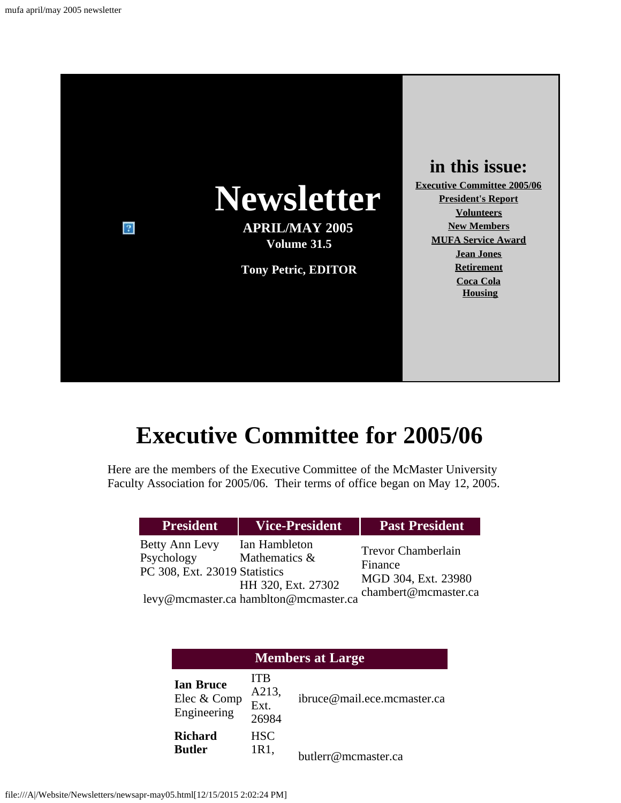

## **in this issue:**

**[Executive Committee 2005/06](#page-0-0) [President's Report](#page-1-0) [Volunteers](#page-3-0) [New Members](#page-4-0) [MUFA Service Award](#page-5-0) [Jean Jones](#page-6-0) [Retirement](#page-7-0) [Coca Cola](#page-9-0) [Housing](#page-11-0)**

# **Executive Committee for 2005/06**

<span id="page-0-0"></span>Here are the members of the Executive Committee of the McMaster University Faculty Association for 2005/06. Their terms of office began on May 12, 2005.

| <b>President</b>                                                     | <b>Vice-President</b>                                                                         | <b>Past President</b>                                                               |
|----------------------------------------------------------------------|-----------------------------------------------------------------------------------------------|-------------------------------------------------------------------------------------|
| <b>Betty Ann Levy</b><br>Psychology<br>PC 308, Ext. 23019 Statistics | Ian Hambleton<br>Mathematics &<br>HH 320, Ext. 27302<br>levy@mcmaster.ca hamblton@mcmaster.ca | <b>Trevor Chamberlain</b><br>Finance<br>MGD 304, Ext. 23980<br>chambert@mcmaster.ca |

| <b>Members at Large</b>                        |                                      |                             |  |  |
|------------------------------------------------|--------------------------------------|-----------------------------|--|--|
| <b>Ian Bruce</b><br>Elec & Comp<br>Engineering | <b>ITB</b><br>A213,<br>Ext.<br>26984 | ibruce@mail.ece.mcmaster.ca |  |  |
| <b>Richard</b><br><b>Butler</b>                | <b>HSC</b><br>1R1,                   | butlerr@mcmaster.ca         |  |  |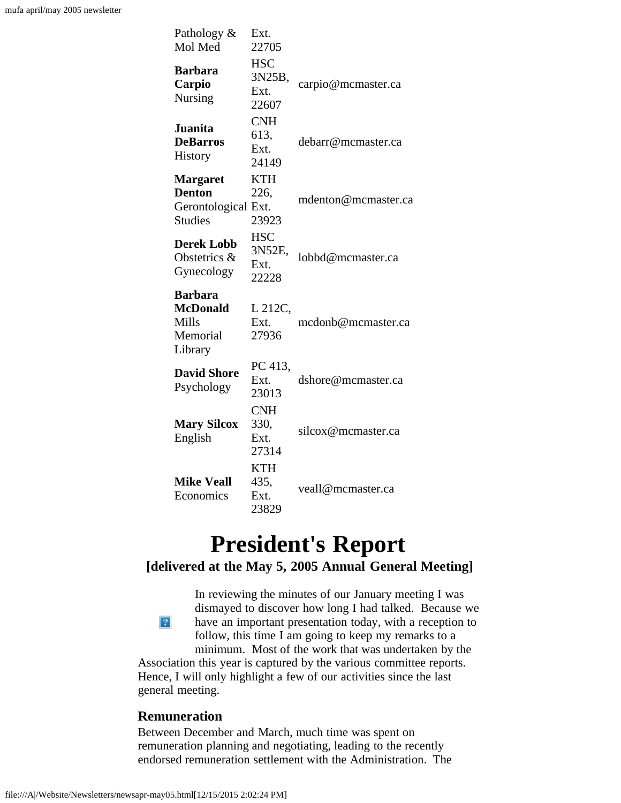| Pathology &<br>Mol Med                                                    | Ext.<br>22705                         |                     |
|---------------------------------------------------------------------------|---------------------------------------|---------------------|
| <b>Barbara</b><br>Carpio<br>Nursing                                       | <b>HSC</b><br>3N25B,<br>Ext.<br>22607 | carpio@mcmaster.ca  |
| <b>Juanita</b><br><b>DeBarros</b><br>History                              | <b>CNH</b><br>613,<br>Ext.<br>24149   | debarr@mcmaster.ca  |
| <b>Margaret</b><br><b>Denton</b><br>Gerontological Ext.<br><b>Studies</b> | <b>KTH</b><br>226,<br>23923           | mdenton@mcmaster.ca |
| <b>Derek Lobb</b><br>Obstetrics &<br>Gynecology                           | <b>HSC</b><br>3N52E,<br>Ext.<br>22228 | lobbd@mcmaster.ca   |
| <b>Barbara</b><br><b>McDonald</b><br>Mills<br>Memorial<br>Library         | L 212C,<br>Ext.<br>27936              | mcdonb@mcmaster.ca  |
| <b>David Shore</b><br>Psychology                                          | PC 413,<br>Ext.<br>23013              | dshore@mcmaster.ca  |
| <b>Mary Silcox</b><br>English                                             | <b>CNH</b><br>330,<br>Ext.<br>27314   | silcox@mcmaster.ca  |
| <b>Mike Veall</b><br>Economics                                            | <b>KTH</b><br>435,<br>Ext.<br>23829   | veall@mcmaster.ca   |

# **President's Report**

## <span id="page-1-0"></span>**[delivered at the May 5, 2005 Annual General Meeting]**

In reviewing the minutes of our January meeting I was dismayed to discover how long I had talked. Because we  $\left|2\right\rangle$ have an important presentation today, with a reception to follow, this time I am going to keep my remarks to a minimum. Most of the work that was undertaken by the

Association this year is captured by the various committee reports. Hence, I will only highlight a few of our activities since the last general meeting.

#### **Remuneration**

Between December and March, much time was spent on remuneration planning and negotiating, leading to the recently endorsed remuneration settlement with the Administration. The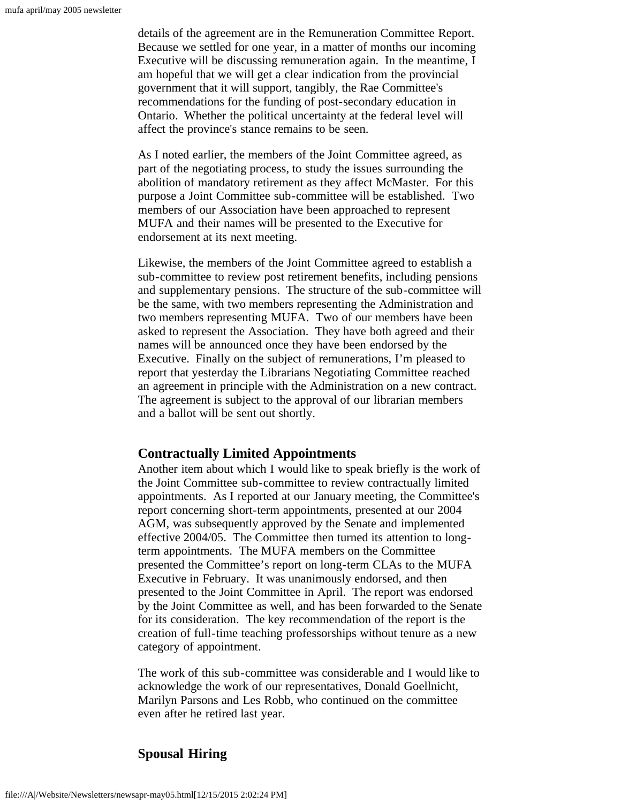details of the agreement are in the Remuneration Committee Report. Because we settled for one year, in a matter of months our incoming Executive will be discussing remuneration again. In the meantime, I am hopeful that we will get a clear indication from the provincial government that it will support, tangibly, the Rae Committee's recommendations for the funding of post-secondary education in Ontario. Whether the political uncertainty at the federal level will affect the province's stance remains to be seen.

As I noted earlier, the members of the Joint Committee agreed, as part of the negotiating process, to study the issues surrounding the abolition of mandatory retirement as they affect McMaster. For this purpose a Joint Committee sub-committee will be established. Two members of our Association have been approached to represent MUFA and their names will be presented to the Executive for endorsement at its next meeting.

Likewise, the members of the Joint Committee agreed to establish a sub-committee to review post retirement benefits, including pensions and supplementary pensions. The structure of the sub-committee will be the same, with two members representing the Administration and two members representing MUFA. Two of our members have been asked to represent the Association. They have both agreed and their names will be announced once they have been endorsed by the Executive. Finally on the subject of remunerations, I'm pleased to report that yesterday the Librarians Negotiating Committee reached an agreement in principle with the Administration on a new contract. The agreement is subject to the approval of our librarian members and a ballot will be sent out shortly.

#### **Contractually Limited Appointments**

Another item about which I would like to speak briefly is the work of the Joint Committee sub-committee to review contractually limited appointments. As I reported at our January meeting, the Committee's report concerning short-term appointments, presented at our 2004 AGM, was subsequently approved by the Senate and implemented effective 2004/05. The Committee then turned its attention to longterm appointments. The MUFA members on the Committee presented the Committee's report on long-term CLAs to the MUFA Executive in February. It was unanimously endorsed, and then presented to the Joint Committee in April. The report was endorsed by the Joint Committee as well, and has been forwarded to the Senate for its consideration. The key recommendation of the report is the creation of full-time teaching professorships without tenure as a new category of appointment.

The work of this sub-committee was considerable and I would like to acknowledge the work of our representatives, Donald Goellnicht, Marilyn Parsons and Les Robb, who continued on the committee even after he retired last year.

## **Spousal Hiring**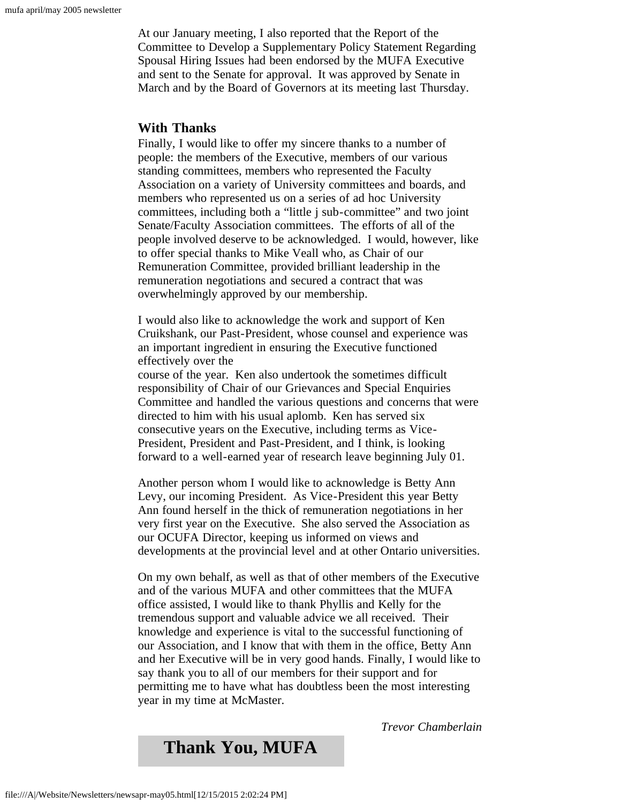At our January meeting, I also reported that the Report of the Committee to Develop a Supplementary Policy Statement Regarding Spousal Hiring Issues had been endorsed by the MUFA Executive and sent to the Senate for approval. It was approved by Senate in March and by the Board of Governors at its meeting last Thursday.

#### **With Thanks**

Finally, I would like to offer my sincere thanks to a number of people: the members of the Executive, members of our various standing committees, members who represented the Faculty Association on a variety of University committees and boards, and members who represented us on a series of ad hoc University committees, including both a "little j sub-committee" and two joint Senate/Faculty Association committees. The efforts of all of the people involved deserve to be acknowledged. I would, however, like to offer special thanks to Mike Veall who, as Chair of our Remuneration Committee, provided brilliant leadership in the remuneration negotiations and secured a contract that was overwhelmingly approved by our membership.

I would also like to acknowledge the work and support of Ken Cruikshank, our Past-President, whose counsel and experience was an important ingredient in ensuring the Executive functioned effectively over the

course of the year. Ken also undertook the sometimes difficult responsibility of Chair of our Grievances and Special Enquiries Committee and handled the various questions and concerns that were directed to him with his usual aplomb. Ken has served six consecutive years on the Executive, including terms as Vice-President, President and Past-President, and I think, is looking forward to a well-earned year of research leave beginning July 01.

Another person whom I would like to acknowledge is Betty Ann Levy, our incoming President. As Vice-President this year Betty Ann found herself in the thick of remuneration negotiations in her very first year on the Executive. She also served the Association as our OCUFA Director, keeping us informed on views and developments at the provincial level and at other Ontario universities.

On my own behalf, as well as that of other members of the Executive and of the various MUFA and other committees that the MUFA office assisted, I would like to thank Phyllis and Kelly for the tremendous support and valuable advice we all received. Their knowledge and experience is vital to the successful functioning of our Association, and I know that with them in the office, Betty Ann and her Executive will be in very good hands. Finally, I would like to say thank you to all of our members for their support and for permitting me to have what has doubtless been the most interesting year in my time at McMaster.

*Trevor Chamberlain*

## <span id="page-3-0"></span>**Thank You, MUFA**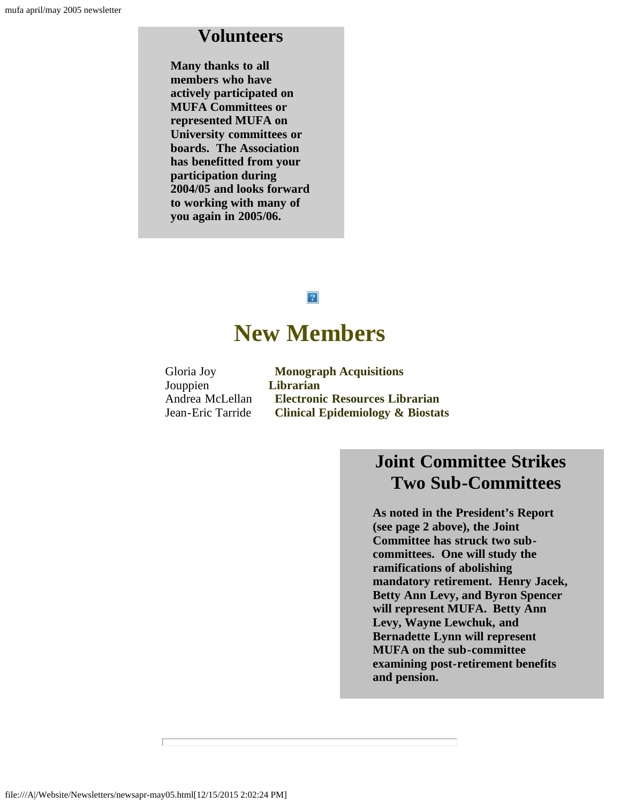## **Volunteers**

**Many thanks to all members who have actively participated on MUFA Committees or represented MUFA on University committees or boards. The Association has benefitted from your participation during 2004/05 and looks forward to working with many of you again in 2005/06.**

### $\vert$  ?

# **New Members**

<span id="page-4-0"></span>

| Gloria Joy        | <b>Monograph Acquisitions</b>               |
|-------------------|---------------------------------------------|
| Jouppien          | Librarian                                   |
| Andrea McLellan   | <b>Electronic Resources Librarian</b>       |
| Jean-Eric Tarride | <b>Clinical Epidemiology &amp; Biostats</b> |

## **Joint Committee Strikes Two Sub-Committees**

**As noted in the President's Report (see page 2 above), the Joint Committee has struck two subcommittees. One will study the ramifications of abolishing mandatory retirement. Henry Jacek, Betty Ann Levy, and Byron Spencer will represent MUFA. Betty Ann Levy, Wayne Lewchuk, and Bernadette Lynn will represent MUFA on the sub-committee examining post-retirement benefits and pension.**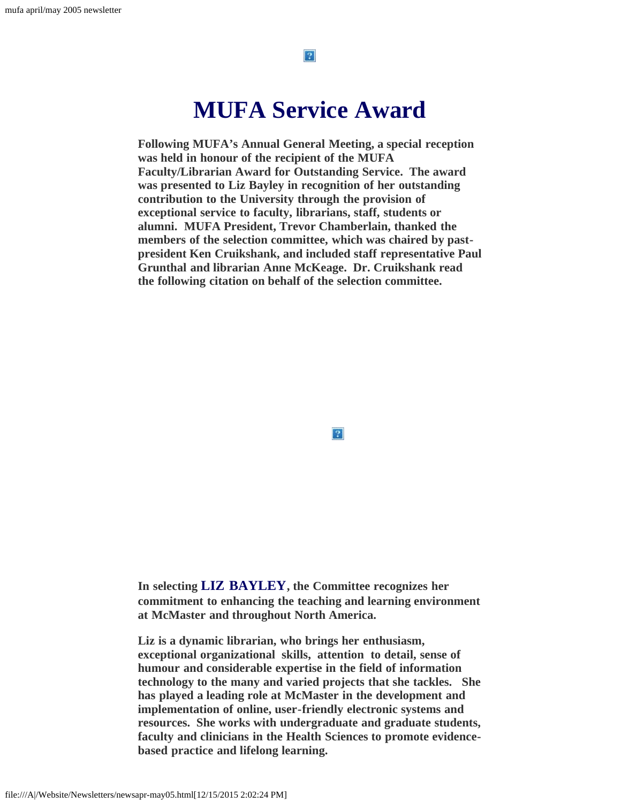$|2\rangle$ 

# **MUFA Service Award**

<span id="page-5-0"></span>**Following MUFA's Annual General Meeting, a special reception was held in honour of the recipient of the MUFA Faculty/Librarian Award for Outstanding Service. The award was presented to Liz Bayley in recognition of her outstanding contribution to the University through the provision of exceptional service to faculty, librarians, staff, students or alumni. MUFA President, Trevor Chamberlain, thanked the members of the selection committee, which was chaired by pastpresident Ken Cruikshank, and included staff representative Paul Grunthal and librarian Anne McKeage. Dr. Cruikshank read the following citation on behalf of the selection committee.**

 $|2|$ 

**In selecting LIZ BAYLEY, the Committee recognizes her commitment to enhancing the teaching and learning environment at McMaster and throughout North America.**

**Liz is a dynamic librarian, who brings her enthusiasm, exceptional organizational skills, attention to detail, sense of humour and considerable expertise in the field of information technology to the many and varied projects that she tackles. She has played a leading role at McMaster in the development and implementation of online, user-friendly electronic systems and resources. She works with undergraduate and graduate students, faculty and clinicians in the Health Sciences to promote evidencebased practice and lifelong learning.**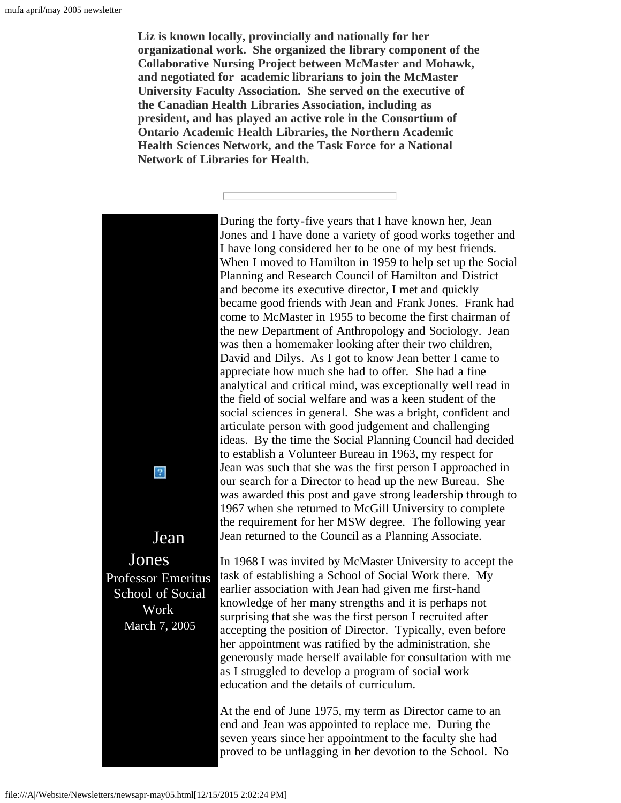**Liz is known locally, provincially and nationally for her organizational work. She organized the library component of the Collaborative Nursing Project between McMaster and Mohawk, and negotiated for academic librarians to join the McMaster University Faculty Association. She served on the executive of the Canadian Health Libraries Association, including as president, and has played an active role in the Consortium of Ontario Academic Health Libraries, the Northern Academic Health Sciences Network, and the Task Force for a National Network of Libraries for Health.**

<span id="page-6-0"></span>During the forty-five years that I have known her, Jean Jones and I have done a variety of good works together and I have long considered her to be one of my best friends. When I moved to Hamilton in 1959 to help set up the Social Planning and Research Council of Hamilton and District and become its executive director, I met and quickly became good friends with Jean and Frank Jones. Frank had come to McMaster in 1955 to become the first chairman of the new Department of Anthropology and Sociology. Jean was then a homemaker looking after their two children, David and Dilys. As I got to know Jean better I came to appreciate how much she had to offer. She had a fine analytical and critical mind, was exceptionally well read in the field of social welfare and was a keen student of the social sciences in general. She was a bright, confident and articulate person with good judgement and challenging ideas. By the time the Social Planning Council had decided to establish a Volunteer Bureau in 1963, my respect for Jean was such that she was the first person I approached in  $|2|$ our search for a Director to head up the new Bureau. She was awarded this post and gave strong leadership through to 1967 when she returned to McGill University to complete the requirement for her MSW degree. The following year Jean Jean returned to the Council as a Planning Associate. Jones Professor Emeritus In 1968 I was invited by McMaster University to accept the task of establishing a School of Social Work there. My earlier association with Jean had given me first-hand School of Social knowledge of her many strengths and it is perhaps not Work surprising that she was the first person I recruited after March 7, 2005

accepting the position of Director. Typically, even before her appointment was ratified by the administration, she generously made herself available for consultation with me as I struggled to develop a program of social work education and the details of curriculum. At the end of June 1975, my term as Director came to an

end and Jean was appointed to replace me. During the seven years since her appointment to the faculty she had proved to be unflagging in her devotion to the School. No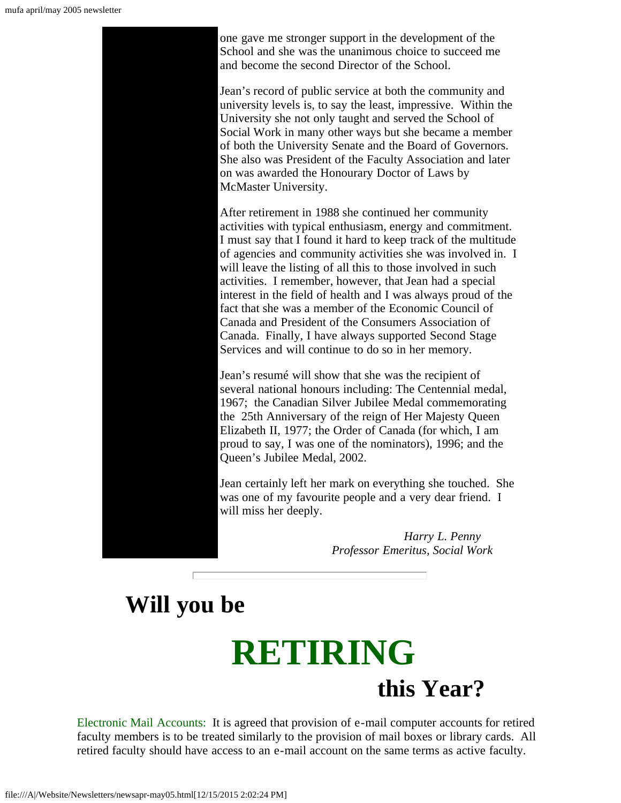

one gave me stronger support in the development of the School and she was the unanimous choice to succeed me and become the second Director of the School.

Jean's record of public service at both the community and university levels is, to say the least, impressive. Within the University she not only taught and served the School of Social Work in many other ways but she became a member of both the University Senate and the Board of Governors. She also was President of the Faculty Association and later on was awarded the Honourary Doctor of Laws by McMaster University.

After retirement in 1988 she continued her community activities with typical enthusiasm, energy and commitment. I must say that I found it hard to keep track of the multitude of agencies and community activities she was involved in. I will leave the listing of all this to those involved in such activities. I remember, however, that Jean had a special interest in the field of health and I was always proud of the fact that she was a member of the Economic Council of Canada and President of the Consumers Association of Canada. Finally, I have always supported Second Stage Services and will continue to do so in her memory.

Jean's resumé will show that she was the recipient of several national honours including: The Centennial medal, 1967; the Canadian Silver Jubilee Medal commemorating the 25th Anniversary of the reign of Her Majesty Queen Elizabeth II, 1977; the Order of Canada (for which, I am proud to say, I was one of the nominators), 1996; and the Queen's Jubilee Medal, 2002.

Jean certainly left her mark on everything she touched. She was one of my favourite people and a very dear friend. I will miss her deeply.

> *Harry L. Penny Professor Emeritus, Social Work*

# <span id="page-7-0"></span> **Will you be**

# **RETIRING**<br>this Year?

Electronic Mail Accounts: It is agreed that provision of e-mail computer accounts for retired faculty members is to be treated similarly to the provision of mail boxes or library cards. All retired faculty should have access to an e-mail account on the same terms as active faculty.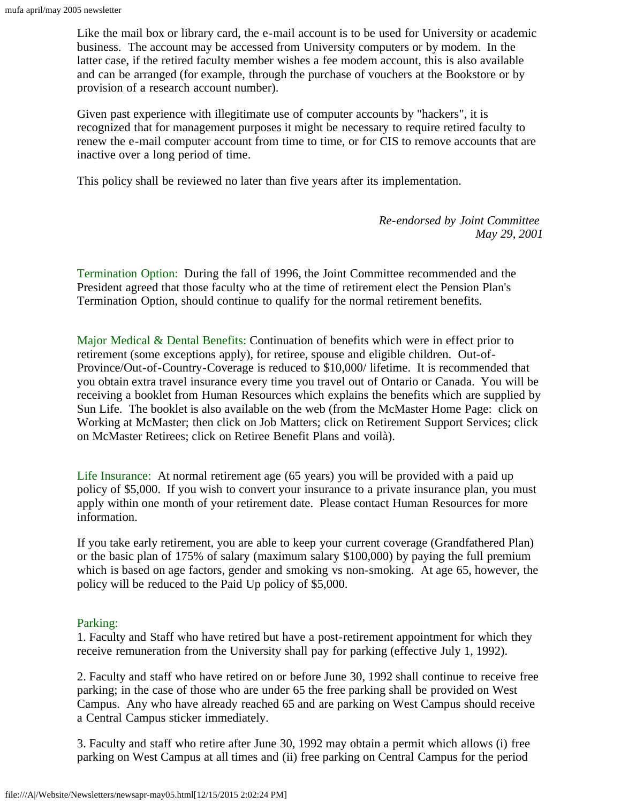Like the mail box or library card, the e-mail account is to be used for University or academic business. The account may be accessed from University computers or by modem. In the latter case, if the retired faculty member wishes a fee modem account, this is also available and can be arranged (for example, through the purchase of vouchers at the Bookstore or by provision of a research account number).

Given past experience with illegitimate use of computer accounts by "hackers", it is recognized that for management purposes it might be necessary to require retired faculty to renew the e-mail computer account from time to time, or for CIS to remove accounts that are inactive over a long period of time.

This policy shall be reviewed no later than five years after its implementation.

*Re-endorsed by Joint Committee May 29, 2001*

Termination Option: During the fall of 1996, the Joint Committee recommended and the President agreed that those faculty who at the time of retirement elect the Pension Plan's Termination Option, should continue to qualify for the normal retirement benefits.

Major Medical & Dental Benefits: Continuation of benefits which were in effect prior to retirement (some exceptions apply), for retiree, spouse and eligible children. Out-of-Province/Out-of-Country-Coverage is reduced to \$10,000/ lifetime. It is recommended that you obtain extra travel insurance every time you travel out of Ontario or Canada. You will be receiving a booklet from Human Resources which explains the benefits which are supplied by Sun Life. The booklet is also available on the web (from the McMaster Home Page: click on Working at McMaster; then click on Job Matters; click on Retirement Support Services; click on McMaster Retirees; click on Retiree Benefit Plans and voilà).

Life Insurance: At normal retirement age (65 years) you will be provided with a paid up policy of \$5,000. If you wish to convert your insurance to a private insurance plan, you must apply within one month of your retirement date. Please contact Human Resources for more information.

If you take early retirement, you are able to keep your current coverage (Grandfathered Plan) or the basic plan of 175% of salary (maximum salary \$100,000) by paying the full premium which is based on age factors, gender and smoking vs non-smoking. At age 65, however, the policy will be reduced to the Paid Up policy of \$5,000.

#### Parking:

1. Faculty and Staff who have retired but have a post-retirement appointment for which they receive remuneration from the University shall pay for parking (effective July 1, 1992).

2. Faculty and staff who have retired on or before June 30, 1992 shall continue to receive free parking; in the case of those who are under 65 the free parking shall be provided on West Campus. Any who have already reached 65 and are parking on West Campus should receive a Central Campus sticker immediately.

3. Faculty and staff who retire after June 30, 1992 may obtain a permit which allows (i) free parking on West Campus at all times and (ii) free parking on Central Campus for the period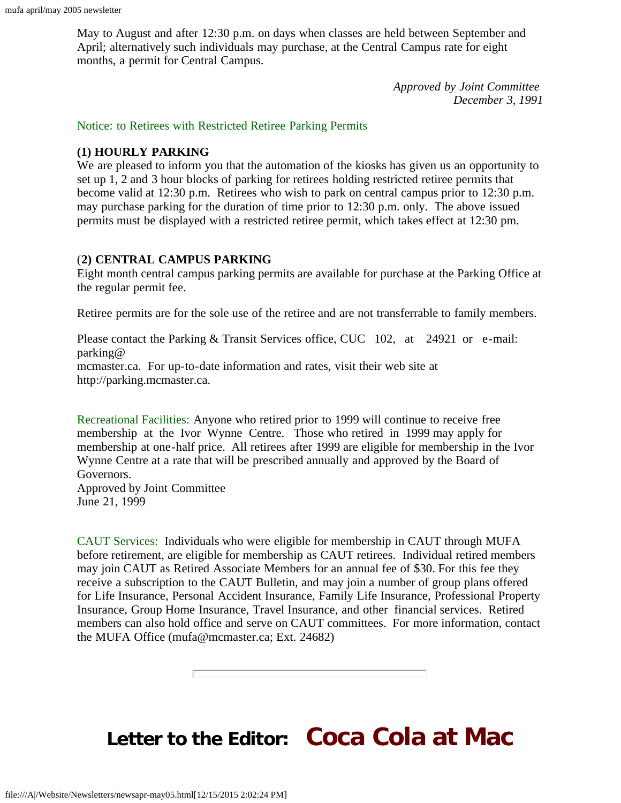May to August and after 12:30 p.m. on days when classes are held between September and April; alternatively such individuals may purchase, at the Central Campus rate for eight months, a permit for Central Campus.

> *Approved by Joint Committee December 3, 1991*

Notice: to Retirees with Restricted Retiree Parking Permits

#### **(1) HOURLY PARKING**

We are pleased to inform you that the automation of the kiosks has given us an opportunity to set up 1, 2 and 3 hour blocks of parking for retirees holding restricted retiree permits that become valid at 12:30 p.m. Retirees who wish to park on central campus prior to 12:30 p.m. may purchase parking for the duration of time prior to 12:30 p.m. only. The above issued permits must be displayed with a restricted retiree permit, which takes effect at 12:30 pm.

#### (**2) CENTRAL CAMPUS PARKING**

Eight month central campus parking permits are available for purchase at the Parking Office at the regular permit fee.

Retiree permits are for the sole use of the retiree and are not transferrable to family members.

Please contact the Parking & Transit Services office, CUC 102, at 24921 or e-mail: parking@ mcmaster.ca. For up-to-date information and rates, visit their web site at http://parking.mcmaster.ca.

Recreational Facilities: Anyone who retired prior to 1999 will continue to receive free membership at the Ivor Wynne Centre. Those who retired in 1999 may apply for membership at one-half price. All retirees after 1999 are eligible for membership in the Ivor Wynne Centre at a rate that will be prescribed annually and approved by the Board of Governors. Approved by Joint Committee

June 21, 1999

CAUT Services: Individuals who were eligible for membership in CAUT through MUFA before retirement, are eligible for membership as CAUT retirees. Individual retired members may join CAUT as Retired Associate Members for an annual fee of \$30. For this fee they receive a subscription to the CAUT Bulletin, and may join a number of group plans offered for Life Insurance, Personal Accident Insurance, Family Life Insurance, Professional Property Insurance, Group Home Insurance, Travel Insurance, and other financial services. Retired members can also hold office and serve on CAUT committees. For more information, contact the MUFA Office (mufa@mcmaster.ca; Ext. 24682)

# <span id="page-9-0"></span>**Letter to the Editor: Coca Cola at Mac**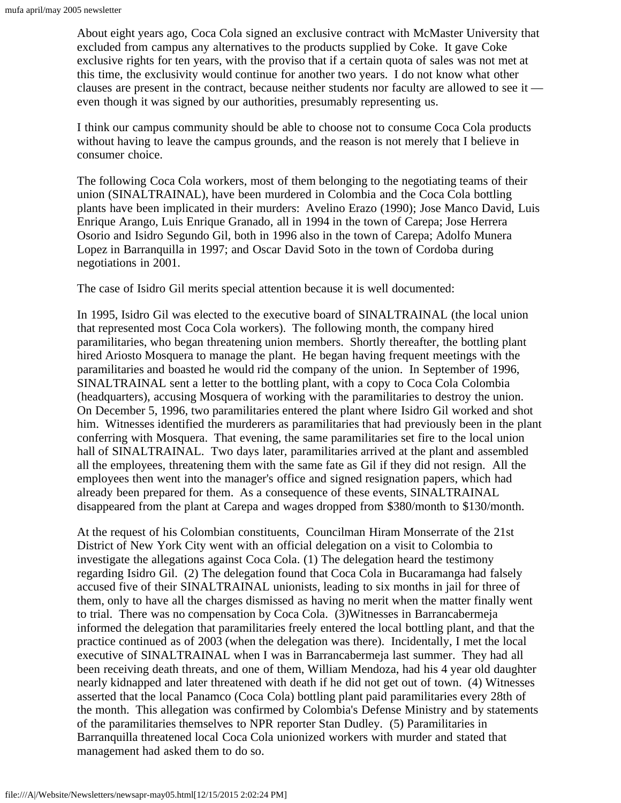About eight years ago, Coca Cola signed an exclusive contract with McMaster University that excluded from campus any alternatives to the products supplied by Coke. It gave Coke exclusive rights for ten years, with the proviso that if a certain quota of sales was not met at this time, the exclusivity would continue for another two years. I do not know what other clauses are present in the contract, because neither students nor faculty are allowed to see it even though it was signed by our authorities, presumably representing us.

I think our campus community should be able to choose not to consume Coca Cola products without having to leave the campus grounds, and the reason is not merely that I believe in consumer choice.

The following Coca Cola workers, most of them belonging to the negotiating teams of their union (SINALTRAINAL), have been murdered in Colombia and the Coca Cola bottling plants have been implicated in their murders: Avelino Erazo (1990); Jose Manco David, Luis Enrique Arango, Luis Enrique Granado, all in 1994 in the town of Carepa; Jose Herrera Osorio and Isidro Segundo Gil, both in 1996 also in the town of Carepa; Adolfo Munera Lopez in Barranquilla in 1997; and Oscar David Soto in the town of Cordoba during negotiations in 2001.

The case of Isidro Gil merits special attention because it is well documented:

In 1995, Isidro Gil was elected to the executive board of SINALTRAINAL (the local union that represented most Coca Cola workers). The following month, the company hired paramilitaries, who began threatening union members. Shortly thereafter, the bottling plant hired Ariosto Mosquera to manage the plant. He began having frequent meetings with the paramilitaries and boasted he would rid the company of the union. In September of 1996, SINALTRAINAL sent a letter to the bottling plant, with a copy to Coca Cola Colombia (headquarters), accusing Mosquera of working with the paramilitaries to destroy the union. On December 5, 1996, two paramilitaries entered the plant where Isidro Gil worked and shot him. Witnesses identified the murderers as paramilitaries that had previously been in the plant conferring with Mosquera. That evening, the same paramilitaries set fire to the local union hall of SINALTRAINAL. Two days later, paramilitaries arrived at the plant and assembled all the employees, threatening them with the same fate as Gil if they did not resign. All the employees then went into the manager's office and signed resignation papers, which had already been prepared for them. As a consequence of these events, SINALTRAINAL disappeared from the plant at Carepa and wages dropped from \$380/month to \$130/month.

At the request of his Colombian constituents, Councilman Hiram Monserrate of the 21st District of New York City went with an official delegation on a visit to Colombia to investigate the allegations against Coca Cola. (1) The delegation heard the testimony regarding Isidro Gil. (2) The delegation found that Coca Cola in Bucaramanga had falsely accused five of their SINALTRAINAL unionists, leading to six months in jail for three of them, only to have all the charges dismissed as having no merit when the matter finally went to trial. There was no compensation by Coca Cola. (3)Witnesses in Barrancabermeja informed the delegation that paramilitaries freely entered the local bottling plant, and that the practice continued as of 2003 (when the delegation was there). Incidentally, I met the local executive of SINALTRAINAL when I was in Barrancabermeja last summer. They had all been receiving death threats, and one of them, William Mendoza, had his 4 year old daughter nearly kidnapped and later threatened with death if he did not get out of town. (4) Witnesses asserted that the local Panamco (Coca Cola) bottling plant paid paramilitaries every 28th of the month. This allegation was confirmed by Colombia's Defense Ministry and by statements of the paramilitaries themselves to NPR reporter Stan Dudley. (5) Paramilitaries in Barranquilla threatened local Coca Cola unionized workers with murder and stated that management had asked them to do so.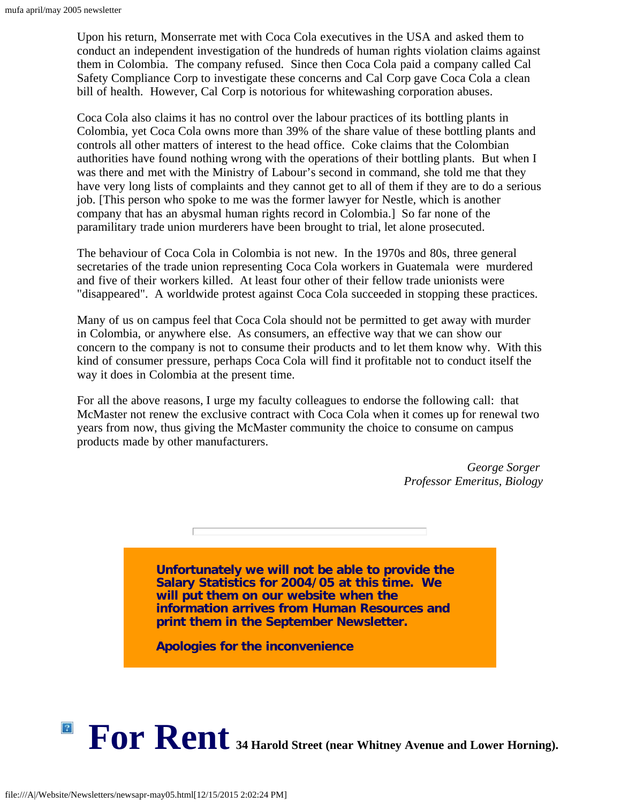Upon his return, Monserrate met with Coca Cola executives in the USA and asked them to conduct an independent investigation of the hundreds of human rights violation claims against them in Colombia. The company refused. Since then Coca Cola paid a company called Cal Safety Compliance Corp to investigate these concerns and Cal Corp gave Coca Cola a clean bill of health. However, Cal Corp is notorious for whitewashing corporation abuses.

Coca Cola also claims it has no control over the labour practices of its bottling plants in Colombia, yet Coca Cola owns more than 39% of the share value of these bottling plants and controls all other matters of interest to the head office. Coke claims that the Colombian authorities have found nothing wrong with the operations of their bottling plants. But when I was there and met with the Ministry of Labour's second in command, she told me that they have very long lists of complaints and they cannot get to all of them if they are to do a serious job. [This person who spoke to me was the former lawyer for Nestle, which is another company that has an abysmal human rights record in Colombia.] So far none of the paramilitary trade union murderers have been brought to trial, let alone prosecuted.

The behaviour of Coca Cola in Colombia is not new. In the 1970s and 80s, three general secretaries of the trade union representing Coca Cola workers in Guatemala were murdered and five of their workers killed. At least four other of their fellow trade unionists were "disappeared". A worldwide protest against Coca Cola succeeded in stopping these practices.

Many of us on campus feel that Coca Cola should not be permitted to get away with murder in Colombia, or anywhere else. As consumers, an effective way that we can show our concern to the company is not to consume their products and to let them know why. With this kind of consumer pressure, perhaps Coca Cola will find it profitable not to conduct itself the way it does in Colombia at the present time.

For all the above reasons, I urge my faculty colleagues to endorse the following call: that McMaster not renew the exclusive contract with Coca Cola when it comes up for renewal two years from now, thus giving the McMaster community the choice to consume on campus products made by other manufacturers.

> *George Sorger Professor Emeritus, Biology*

**Unfortunately we will not be able to provide the Salary Statistics for 2004/05 at this time. We will put them on our website when the information arrives from Human Resources and print them in the September Newsletter.**

**Apologies for the inconvenience**

<span id="page-11-0"></span>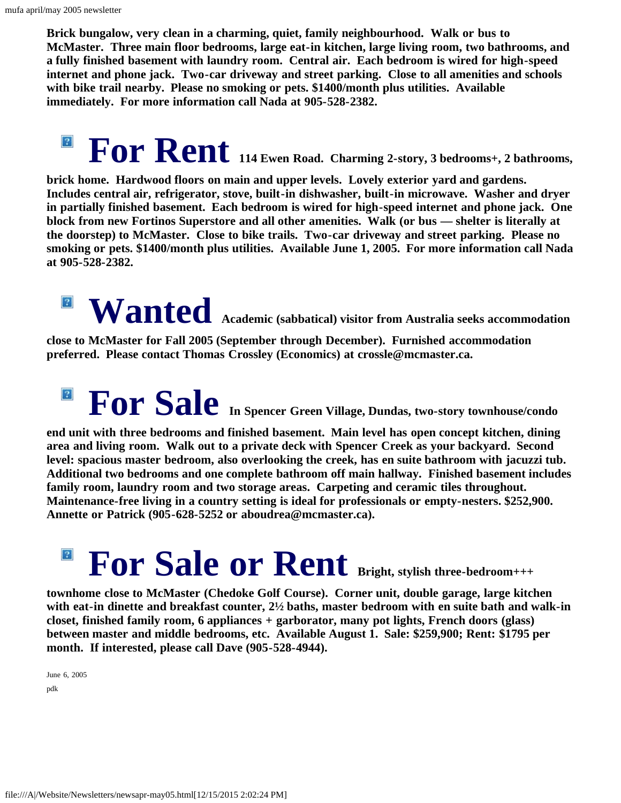**Brick bungalow, very clean in a charming, quiet, family neighbourhood. Walk or bus to McMaster. Three main floor bedrooms, large eat-in kitchen, large living room, two bathrooms, and a fully finished basement with laundry room. Central air. Each bedroom is wired for high-speed internet and phone jack. Two-car driveway and street parking. Close to all amenities and schools with bike trail nearby. Please no smoking or pets. \$1400/month plus utilities. Available immediately. For more information call Nada at 905-528-2382.**

**For Rent 114 Ewen Road. Charming 2-story, 3 bedrooms+, 2 bathrooms,**  $\vert$ ?

**brick home. Hardwood floors on main and upper levels. Lovely exterior yard and gardens. Includes central air, refrigerator, stove, built-in dishwasher, built-in microwave. Washer and dryer in partially finished basement. Each bedroom is wired for high-speed internet and phone jack. One block from new Fortinos Superstore and all other amenities. Walk (or bus — shelter is literally at the doorstep) to McMaster. Close to bike trails. Two-car driveway and street parking. Please no smoking or pets. \$1400/month plus utilities. Available June 1, 2005. For more information call Nada at 905-528-2382.**

## **Wanted Academic (sabbatical) visitor from Australia seeks accommodation**  $\boxed{?}$

**close to McMaster for Fall 2005 (September through December). Furnished accommodation preferred. Please contact Thomas Crossley (Economics) at crossle@mcmaster.ca.**

## **For Sale In Spencer Green Village, Dundas, two-story townhouse/condo**  $\boxed{?}$

**end unit with three bedrooms and finished basement. Main level has open concept kitchen, dining area and living room. Walk out to a private deck with Spencer Creek as your backyard. Second level: spacious master bedroom, also overlooking the creek, has en suite bathroom with jacuzzi tub. Additional two bedrooms and one complete bathroom off main hallway. Finished basement includes family room, laundry room and two storage areas. Carpeting and ceramic tiles throughout. Maintenance-free living in a country setting is ideal for professionals or empty-nesters. \$252,900. Annette or Patrick (905-628-5252 or aboudrea@mcmaster.ca).**

## $\sqrt{2}$ For Sale or Rent Bright, stylish three-bedroom+++

**townhome close to McMaster (Chedoke Golf Course). Corner unit, double garage, large kitchen with eat-in dinette and breakfast counter, 2½ baths, master bedroom with en suite bath and walk-in closet, finished family room, 6 appliances + garborator, many pot lights, French doors (glass) between master and middle bedrooms, etc. Available August 1. Sale: \$259,900; Rent: \$1795 per month. If interested, please call Dave (905-528-4944).**

June 6, 2005 pdk